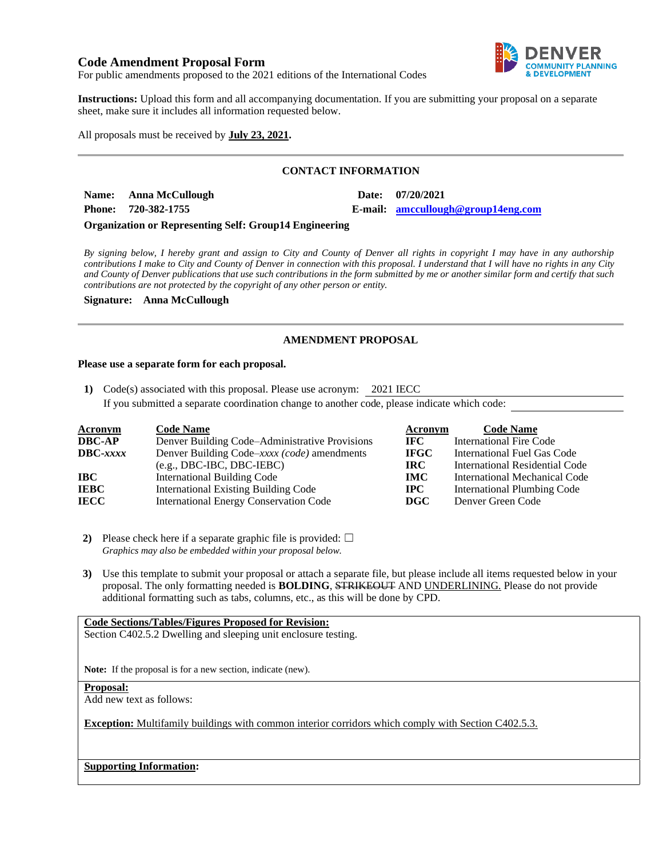# **Code Amendment Proposal Form**



For public amendments proposed to the 2021 editions of the International Codes

**Instructions:** Upload this form and all accompanying documentation. If you are submitting your proposal on a separate sheet, make sure it includes all information requested below.

All proposals must be received by **July 23, 2021.**

## **CONTACT INFORMATION**

| Name: Anna McCullough | Date: 07/20/2021                                     |
|-----------------------|------------------------------------------------------|
| Phone: 720-382-1755   | E-mail: $\arctan \omega$ amccullough @group14eng.com |

**Organization or Representing Self: Group14 Engineering**

*By signing below, I hereby grant and assign to City and County of Denver all rights in copyright I may have in any authorship contributions I make to City and County of Denver in connection with this proposal. I understand that I will have no rights in any City and County of Denver publications that use such contributions in the form submitted by me or another similar form and certify that such contributions are not protected by the copyright of any other person or entity.* 

**Signature: Anna McCullough**

## **AMENDMENT PROPOSAL**

#### **Please use a separate form for each proposal.**

**1)** Code(s) associated with this proposal. Please use acronym: 2021 IECC If you submitted a separate coordination change to another code, please indicate which code:

| <b>Acronym</b>    | <b>Code Name</b>                               | Acronym     | <b>Code Name</b>               |
|-------------------|------------------------------------------------|-------------|--------------------------------|
| <b>DBC-AP</b>     | Denver Building Code–Administrative Provisions | IFC -       | <b>International Fire Code</b> |
| $\text{DBC-}xxxx$ | Denver Building Code-xxxx (code) amendments    | <b>IFGC</b> | International Fuel Gas Code    |
|                   | $(e.g., DBC-IBC, DBC-IEBC)$                    | IRC-        | International Residential Code |
| IBC               | <b>International Building Code</b>             | <b>IMC</b>  | International Mechanical Code  |
| <b>IEBC</b>       | <b>International Existing Building Code</b>    | $\bf IPC$   | International Plumbing Code    |
| <b>IECC</b>       | <b>International Energy Conservation Code</b>  | DGC         | Denver Green Code              |

**2)** Please check here if a separate graphic file is provided:  $\Box$ *Graphics may also be embedded within your proposal below.*

**3)** Use this template to submit your proposal or attach a separate file, but please include all items requested below in your proposal. The only formatting needed is **BOLDING**, STRIKEOUT AND UNDERLINING. Please do not provide additional formatting such as tabs, columns, etc., as this will be done by CPD.

# **Code Sections/Tables/Figures Proposed for Revision:**

Section C402.5.2 Dwelling and sleeping unit enclosure testing.

**Note:** If the proposal is for a new section, indicate (new).

#### **Proposal:**

Add new text as follows:

**Exception:** Multifamily buildings with common interior corridors which comply with Section C402.5.3.

### **Supporting Information:**